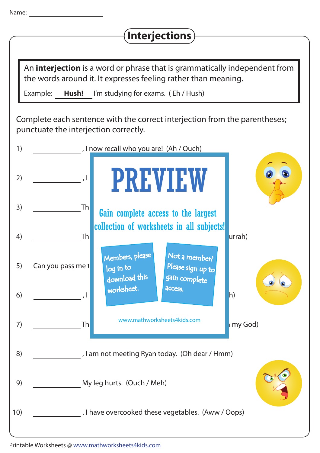